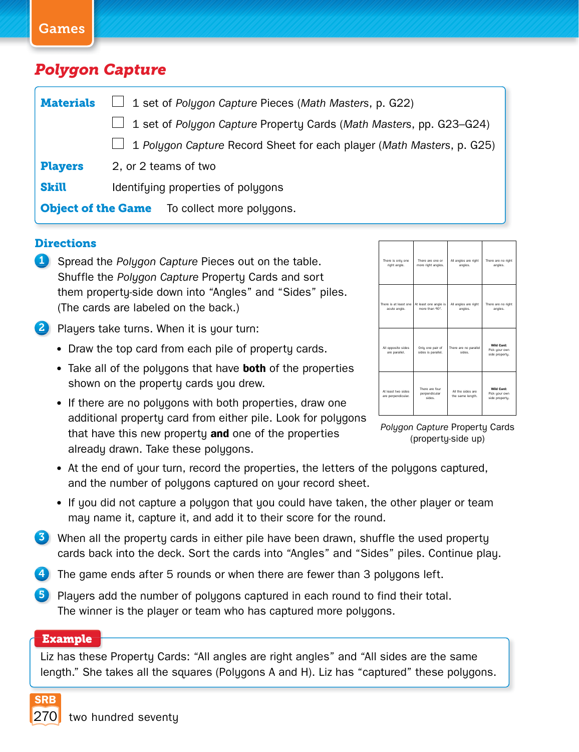### Games

## *Polygon Capture*

| <b>Materials</b>                                    | $\Box$ 1 set of Polygon Capture Pieces (Math Masters, p. G22)              |  |  |
|-----------------------------------------------------|----------------------------------------------------------------------------|--|--|
|                                                     | $\Box$ 1 set of Polygon Capture Property Cards (Math Masters, pp. G23–G24) |  |  |
|                                                     | 1 Polygon Capture Record Sheet for each player (Math Masters, p. G25)      |  |  |
| <b>Players</b>                                      | 2, or 2 teams of two                                                       |  |  |
| <b>Skill</b>                                        | Identifying properties of polygons                                         |  |  |
| <b>Object of the Game</b> To collect more polygons. |                                                                            |  |  |

### **Directions**

- **1** Spread the *Polygon Capture* Pieces out on the table. Shuffle the *Polygon Capture* Property Cards and sort them property-side down into "Angles" and "Sides" piles. (The cards are labeled on the back.)
- 2 Players take turns. When it is your turn:
	- Draw the top card from each pile of property cards.
	- Take all of the polygons that have **both** of the properties shown on the property cards you drew.
	- If there are no polygons with both properties, draw one additional property card from either pile. Look for polygons that have this new property **and** one of the properties already drawn. Take these polygons.

| There is only one                        | There are one or                         | All angles are right                  | There are no right                            |
|------------------------------------------|------------------------------------------|---------------------------------------|-----------------------------------------------|
| right angle.                             | more right angles.                       | angles.                               | angles.                                       |
| There is at least one                    | At least one angle is                    | All angles are right                  | There are no right                            |
| acute angle.                             | more than 90°.                           | angles.                               | angles.                                       |
| All opposite sides<br>are parallel.      | Only one pair of<br>sides is parallel.   | There are no parallel<br>sides.       | Wild Card:<br>Pick your own<br>side property. |
| At least two sides<br>are perpendicular. | There are four<br>perpendicular<br>ania. | All the sides are<br>the same length. | Wild Card:<br>Pick your own<br>side property. |

*Poly gon Capture* Property Cards (property-side up)

- At the end of your turn, record the properties, the letters of the polygons captured, and the number of polygons captured on your record sheet.
- If you did not capture a polygon that you could have taken, the other player or team may name it, capture it, and add it to their score for the round.
- 3 When all the property cards in either pile have been drawn, shuffle the used property cards back into the deck. Sort the cards into "Angles" and "Sides" piles. Continue play.
- 4 The game ends after 5 rounds or when there are fewer than 3 polygons left.
- 5 Players add the number of polygons captured in each round to find their total. The winner is the player or team who has captured more polygons.

### **Example**

Liz has these Property Cards: "All angles are right angles" and "All sides are the same length." She takes all the squares (Polygons A and H). Liz has "captured" these polygons.

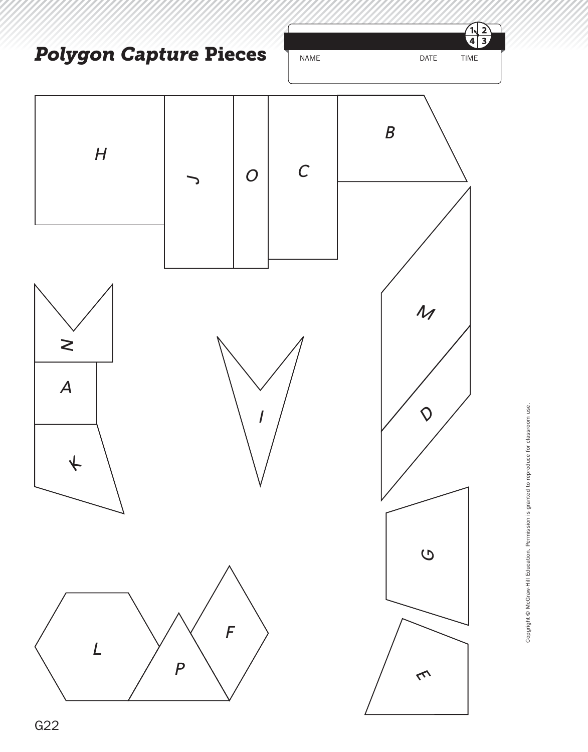$\frac{2}{3}$ ัฟ  $\overline{\bf 4}$ **Polygon Capture Pieces** NAME DATE TIME

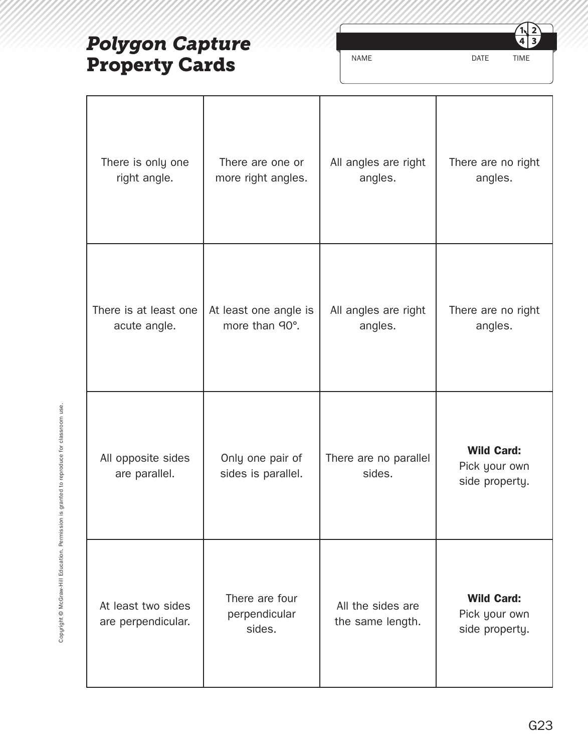# *Polygon Capture*  **Property Cards**

NAME DATE TIME

 $\overrightarrow{2}$ <u>้าง</u>  $\overline{\mathbf{3}}$  $\overline{\bf 4}$ 

| There is only one                        | There are one or                          | All angles are right                  | There are no right                                   |
|------------------------------------------|-------------------------------------------|---------------------------------------|------------------------------------------------------|
| right angle.                             | more right angles.                        | angles.                               | angles.                                              |
| There is at least one                    | At least one angle is                     | All angles are right                  | There are no right                                   |
| acute angle.                             | more than 90°.                            | angles.                               | angles.                                              |
| All opposite sides<br>are parallel.      | Only one pair of<br>sides is parallel.    | There are no parallel<br>sides.       | <b>Wild Card:</b><br>Pick your own<br>side property. |
| At least two sides<br>are perpendicular. | There are four<br>perpendicular<br>sides. | All the sides are<br>the same length. | <b>Wild Card:</b><br>Pick your own<br>side property. |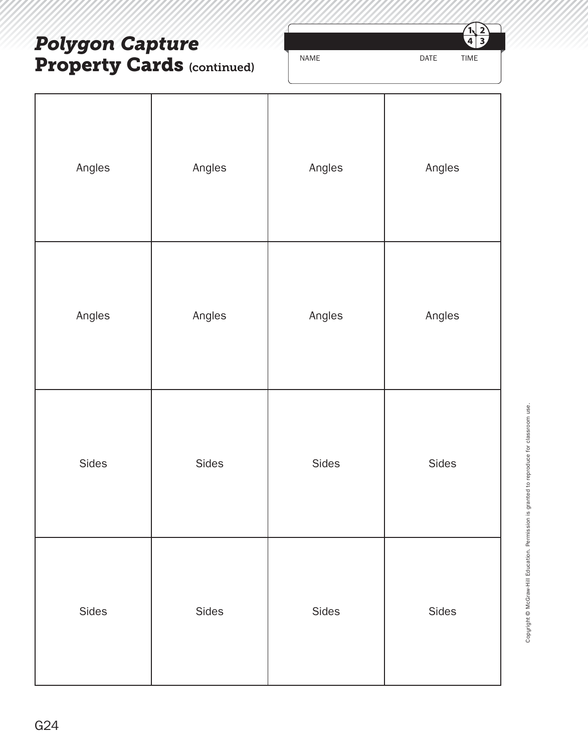## *Polygon Capture*  **Property Cards (continued)**



| Angles | Angles | Angles | Angles |
|--------|--------|--------|--------|
| Angles | Angles | Angles | Angles |
| Sides  | Sides  | Sides  | Sides  |
| Sides  | Sides  | Sides  | Sides  |